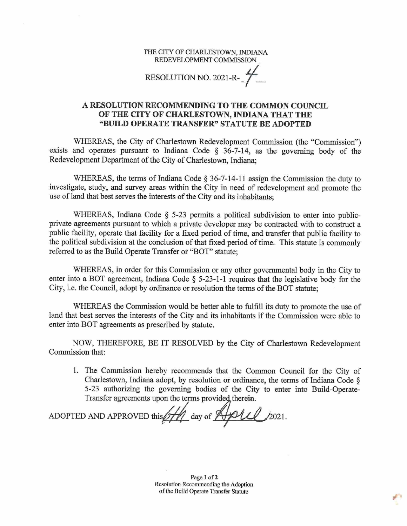THE CITY OF CHARLESTOWN, INDIANA REDEVELOPMENT COMMISSION

RESOLUTION NO. 2021-R- $\frac{1}{2}$ 

## **A RESOLUTION RECOMMENDING TO THE COMMON COUNCIL OF THE CITY OF CHARLESTOWN, INDIANA THAT THE "BUILD OPERATE TRANSFER" STATUTE BE ADOPTED**

WHEREAS, the City of Charlestown Redevelopment Commission (the "Commission") exists and operates pursuant to Indiana Code  $\S$  36-7-14, as the governing body of the Redevelopment Department of the City of Charlestown, Indiana;

WHEREAS, the terms of Indiana Code  $\S 36-7-14-11$  assign the Commission the duty to investigate, study, and survey areas within the City in need of redevelopment and promote the use of land that best serves the interests of the City and its inhabitants;

WHEREAS, Indiana Code § 5-23 permits a political subdivision to enter into publicprivate agreements pursuant to which a private developer may be contracted with to construct a public facility, operate that facility for a fixed period of time, and transfer that public facility to the political subdivision at the conclusion of that fixed period of time. This statute is commonly referred to as the Build Operate Transfer or "BOT" statute;

WHEREAS, in order for this Commission or any other governmental body in the City to enter into a BOT agreement, Indiana Code § 5-23-1-1 requires that the legislative body for the City, i.e. the Council, adopt by ordinance or resolution the terms of the BOT statute;

WHEREAS the Commission would be better able to fulfill its duty to promote the use of land that best serves the interests of the City and its inhabitants if the Commission were able to enter into BOT agreements as prescribed by statute.

NOW, THEREFORE, BE IT RESOLVED by the City of Charlestown Redevelopment Commission that:

1. The Commission hereby recommends that the Common Council for the City of Charlestown, Indiana adopt, by resolution or ordinance, the terms of Indiana Code  $\S$ 5-23 authorizing the governing bodies of the City to enter into Build-Operate-Transfer agreements upon the terms provided therein.

ADOPTED AND APPROVED this  $\frac{f}{f}$  day of  $\frac{f}{f}$ **21.** 2021.

Page 1 of 2 Resolution Recommending the Adoption of the Build Operate Transfer Statute